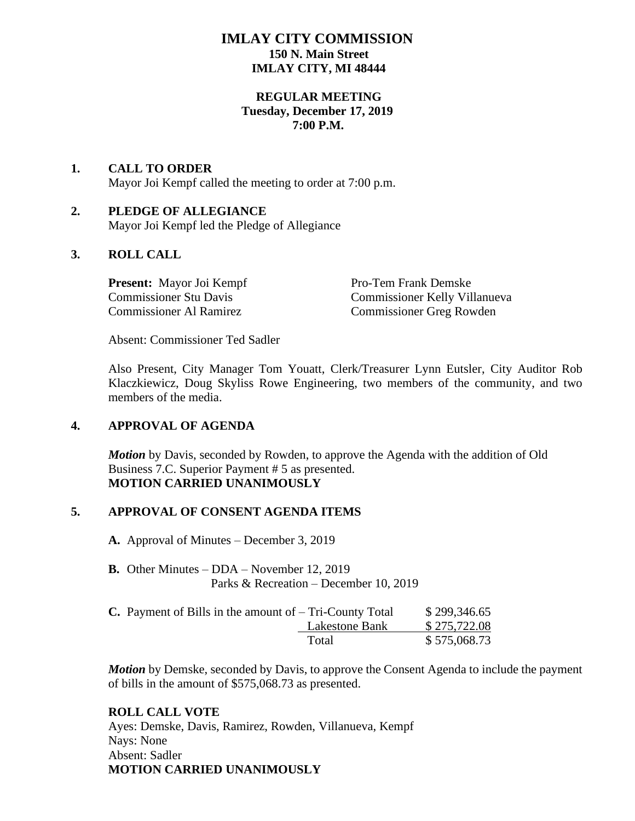# **IMLAY CITY COMMISSION 150 N. Main Street IMLAY CITY, MI 48444**

## **REGULAR MEETING Tuesday, December 17, 2019 7:00 P.M.**

# **1. CALL TO ORDER**  Mayor Joi Kempf called the meeting to order at 7:00 p.m.

### **2. PLEDGE OF ALLEGIANCE** Mayor Joi Kempf led the Pledge of Allegiance

# **3. ROLL CALL**

**Present:** Mayor Joi Kempf Pro-Tem Frank Demske

Commissioner Stu Davis Commissioner Kelly Villanueva Commissioner Al Ramirez Commissioner Greg Rowden

Absent: Commissioner Ted Sadler

Also Present, City Manager Tom Youatt, Clerk/Treasurer Lynn Eutsler, City Auditor Rob Klaczkiewicz, Doug Skyliss Rowe Engineering, two members of the community, and two members of the media.

#### **4. APPROVAL OF AGENDA**

*Motion* by Davis, seconded by Rowden, to approve the Agenda with the addition of Old Business 7.C. Superior Payment # 5 as presented. **MOTION CARRIED UNANIMOUSLY**

#### **5. APPROVAL OF CONSENT AGENDA ITEMS**

**A.** Approval of Minutes – December 3, 2019

- **B.** Other Minutes DDA November 12, 2019 Parks & Recreation – December 10, 2019
- **C.** Payment of Bills in the amount of  $-$  Tri-County Total  $$ 299,346.65$  Lakestone Bank \$ 275,722.08 Total \$575,068.73

*Motion* by Demske, seconded by Davis, to approve the Consent Agenda to include the payment of bills in the amount of \$575,068.73 as presented.

#### **ROLL CALL VOTE**

Ayes: Demske, Davis, Ramirez, Rowden, Villanueva, Kempf Nays: None Absent: Sadler **MOTION CARRIED UNANIMOUSLY**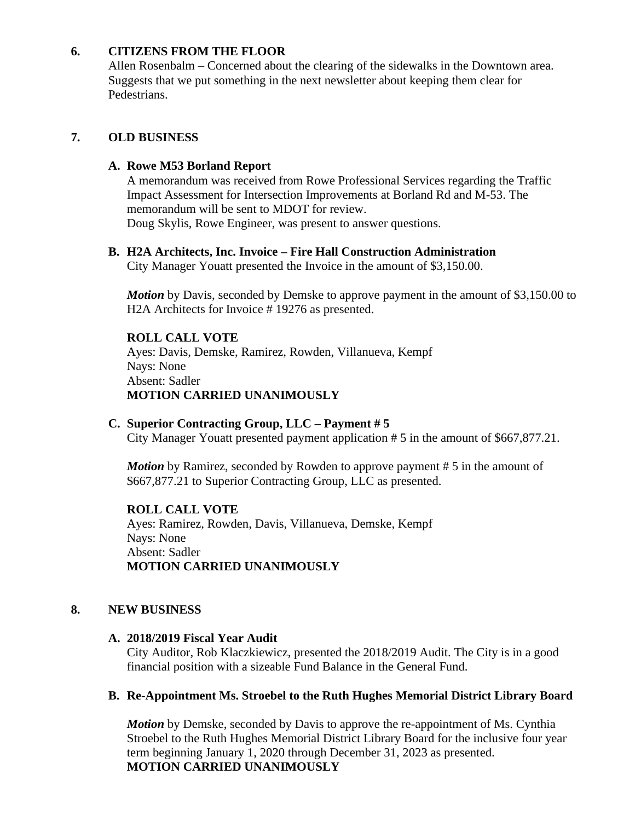## **6. CITIZENS FROM THE FLOOR**

Allen Rosenbalm – Concerned about the clearing of the sidewalks in the Downtown area. Suggests that we put something in the next newsletter about keeping them clear for Pedestrians.

# **7. OLD BUSINESS**

#### **A. Rowe M53 Borland Report**

A memorandum was received from Rowe Professional Services regarding the Traffic Impact Assessment for Intersection Improvements at Borland Rd and M-53. The memorandum will be sent to MDOT for review. Doug Skylis, Rowe Engineer, was present to answer questions.

## **B. H2A Architects, Inc. Invoice – Fire Hall Construction Administration**

City Manager Youatt presented the Invoice in the amount of \$3,150.00.

*Motion* by Davis, seconded by Demske to approve payment in the amount of \$3,150.00 to H2A Architects for Invoice # 19276 as presented.

#### **ROLL CALL VOTE**

Ayes: Davis, Demske, Ramirez, Rowden, Villanueva, Kempf Nays: None Absent: Sadler **MOTION CARRIED UNANIMOUSLY**

#### **C. Superior Contracting Group, LLC – Payment # 5**

City Manager Youatt presented payment application # 5 in the amount of \$667,877.21.

*Motion* by Ramirez, seconded by Rowden to approve payment # 5 in the amount of \$667,877.21 to Superior Contracting Group, LLC as presented.

**ROLL CALL VOTE** Ayes: Ramirez, Rowden, Davis, Villanueva, Demske, Kempf Nays: None Absent: Sadler **MOTION CARRIED UNANIMOUSLY**

#### **8. NEW BUSINESS**

#### **A. 2018/2019 Fiscal Year Audit**

City Auditor, Rob Klaczkiewicz, presented the 2018/2019 Audit. The City is in a good financial position with a sizeable Fund Balance in the General Fund.

# **B. Re-Appointment Ms. Stroebel to the Ruth Hughes Memorial District Library Board**

*Motion* by Demske, seconded by Davis to approve the re-appointment of Ms. Cynthia Stroebel to the Ruth Hughes Memorial District Library Board for the inclusive four year term beginning January 1, 2020 through December 31, 2023 as presented. **MOTION CARRIED UNANIMOUSLY**